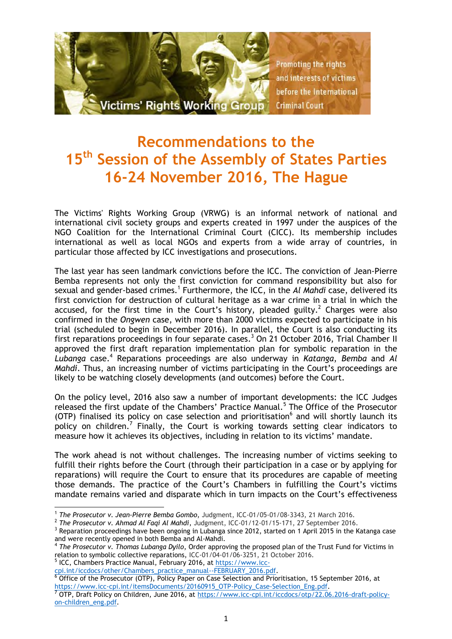

# **Recommendations to the 15th Session of the Assembly of States Parties 16-24 November 2016, The Hague**

The Victims' Rights Working Group (VRWG) is an informal network of national and international civil society groups and experts created in 1997 under the auspices of the NGO Coalition for the International Criminal Court (CICC). Its membership includes international as well as local NGOs and experts from a wide array of countries, in particular those affected by ICC investigations and prosecutions.

The last year has seen landmark convictions before the ICC. The conviction of Jean-Pierre Bemba represents not only the first conviction for command responsibility but also for sexual and gender-based crimes.<sup>1</sup> Furthermore, the ICC, in the *Al Mahdi* case, delivered its first conviction for destruction of cultural heritage as a war crime in a trial in which the accused, for the first time in the Court's history, pleaded guilty.<sup>2</sup> Charges were also confirmed in the *Ongwen* case, with more than 2000 victims expected to participate in his trial (scheduled to begin in December 2016). In parallel, the Court is also conducting its first reparations proceedings in four separate cases.<sup>3</sup> On 21 October 2016, Trial Chamber II approved the first draft reparation implementation plan for symbolic reparation in the Lubanga case.<sup>4</sup> Reparations proceedings are also underway in *Katanga*, Bemba and Al *Mahdi*. Thus, an increasing number of victims participating in the Court's proceedings are likely to be watching closely developments (and outcomes) before the Court.

On the policy level, 2016 also saw a number of important developments: the ICC Judges released the first update of the Chambers' Practice Manual.<sup>5</sup> The Office of the Prosecutor (OTP) finalised its policy on case selection and prioritisation $6$  and will shortly launch its policy on children.<sup>7</sup> Finally, the Court is working towards setting clear indicators to measure how it achieves its objectives, including in relation to its victims' mandate.

The work ahead is not without challenges. The increasing number of victims seeking to fulfill their rights before the Court (through their participation in a case or by applying for reparations) will require the Court to ensure that its procedures are capable of meeting those demands. The practice of the Court's Chambers in fulfilling the Court's victims mandate remains varied and disparate which in turn impacts on the Court's effectiveness

<sup>5</sup> ICC, Chambers Practice Manual, February 2016, at [https://www.icc-](https://www.icc-cpi.int/iccdocs/other/Chambers_practice_manual--FEBRUARY_2016.pdf)

[cpi.int/iccdocs/other/Chambers\\_practice\\_manual--FEBRUARY\\_2016.pdf.](https://www.icc-cpi.int/iccdocs/other/Chambers_practice_manual--FEBRUARY_2016.pdf) 6 Office of the Prosecutor (OTP), Policy Paper on Case Selection and Prioritisation, 15 September 2016, at [https://www.icc-cpi.int/itemsDocuments/20160915\\_OTP-Policy\\_Case-Selection\\_Eng.pdf.](https://www.icc-cpi.int/itemsDocuments/20160915_OTP-Policy_Case-Selection_Eng.pdf)

 $7$  OTP, Draft Policy on Children, June 2016, at [https://www.icc-cpi.int/iccdocs/otp/22.06.2016-draft-policy](https://www.icc-cpi.int/iccdocs/otp/22.06.2016-draft-policy-on-children_eng.pdf)[on-children\\_eng.pdf.](https://www.icc-cpi.int/iccdocs/otp/22.06.2016-draft-policy-on-children_eng.pdf)

<sup>1</sup> 1 *The Prosecutor v. Jean-Pierre Bemba Gombo*, Judgment, ICC-01/05-01/08-3343, 21 March 2016.

<sup>2</sup> *The Prosecutor v. Ahmad Al Faqi Al Mahdi*, Judgment, ICC-01/12-01/15-171, 27 September 2016.

<sup>&</sup>lt;sup>3</sup> Reparation proceedings have been ongoing in Lubanga since 2012, started on 1 April 2015 in the Katanga case and were recently opened in both Bemba and Al-Mahdi.

<sup>4</sup> *The Prosecutor v. Thomas Lubanga Dyilo*, Order approving the proposed plan of the Trust Fund for Victims in relation to symbolic collective reparations, ICC-01/04-01/06-3251, 21 October 2016.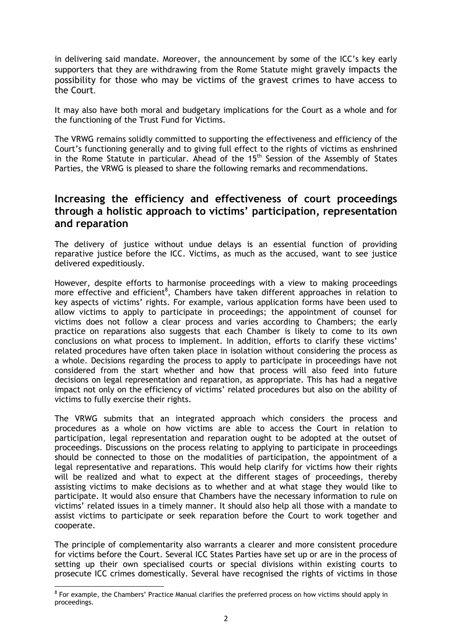in delivering said mandate. Moreover, the announcement by some of the ICC's key early supporters that they are withdrawing from the Rome Statute might gravely impacts the possibility for those who may be victims of the gravest crimes to have access to the Court.

It may also have both moral and budgetary implications for the Court as a whole and for the functioning of the Trust Fund for Victims.

The VRWG remains solidly committed to supporting the effectiveness and efficiency of the Court's functioning generally and to giving full effect to the rights of victims as enshrined in the Rome Statute in particular. Ahead of the 15<sup>th</sup> Session of the Assembly of States Parties, the VRWG is pleased to share the following remarks and recommendations.

#### **Increasing the efficiency and effectiveness of court proceedings through a holistic approach to victims' participation, representation and reparation**

The delivery of justice without undue delays is an essential function of providing reparative justice before the ICC. Victims, as much as the accused, want to see justice delivered expeditiously.

However, despite efforts to harmonise proceedings with a view to making proceedings more effective and efficient<sup>8</sup>, Chambers have taken different approaches in relation to key aspects of victims' rights. For example, various application forms have been used to allow victims to apply to participate in proceedings; the appointment of counsel for victims does not follow a clear process and varies according to Chambers; the early practice on reparations also suggests that each Chamber is likely to come to its own conclusions on what process to implement. In addition, efforts to clarify these victims' related procedures have often taken place in isolation without considering the process as a whole. Decisions regarding the process to apply to participate in proceedings have not considered from the start whether and how that process will also feed into future decisions on legal representation and reparation, as appropriate. This has had a negative impact not only on the efficiency of victims' related procedures but also on the ability of victims to fully exercise their rights.

The VRWG submits that an integrated approach which considers the process and procedures as a whole on how victims are able to access the Court in relation to participation, legal representation and reparation ought to be adopted at the outset of proceedings. Discussions on the process relating to applying to participate in proceedings should be connected to those on the modalities of participation, the appointment of a legal representative and reparations. This would help clarify for victims how their rights will be realized and what to expect at the different stages of proceedings, thereby assisting victims to make decisions as to whether and at what stage they would like to participate. It would also ensure that Chambers have the necessary information to rule on victims' related issues in a timely manner. It should also help all those with a mandate to assist victims to participate or seek reparation before the Court to work together and cooperate.

The principle of complementarity also warrants a clearer and more consistent procedure for victims before the Court. Several ICC States Parties have set up or are in the process of setting up their own specialised courts or special divisions within existing courts to prosecute ICC crimes domestically. Several have recognised the rights of victims in those

<sup>&</sup>lt;u>.</u> <sup>8</sup> For example, the Chambers' Practice Manual clarifies the preferred process on how victims should apply in proceedings.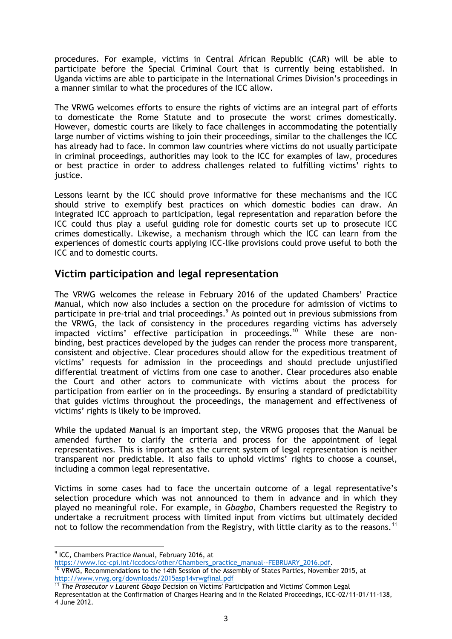procedures. For example, victims in Central African Republic (CAR) will be able to participate before the Special Criminal Court that is currently being established. In Uganda victims are able to participate in the International Crimes Division's proceedings in a manner similar to what the procedures of the ICC allow.

The VRWG welcomes efforts to ensure the rights of victims are an integral part of efforts to domesticate the Rome Statute and to prosecute the worst crimes domestically. However, domestic courts are likely to face challenges in accommodating the potentially large number of victims wishing to join their proceedings, similar to the challenges the ICC has already had to face. In common law countries where victims do not usually participate in criminal proceedings, authorities may look to the ICC for examples of law, procedures or best practice in order to address challenges related to fulfilling victims' rights to justice.

Lessons learnt by the ICC should prove informative for these mechanisms and the ICC should strive to exemplify best practices on which domestic bodies can draw. An integrated ICC approach to participation, legal representation and reparation before the ICC could thus play a useful guiding role for domestic courts set up to prosecute ICC crimes domestically. Likewise, a mechanism through which the ICC can learn from the experiences of domestic courts applying ICC-like provisions could prove useful to both the ICC and to domestic courts.

#### **Victim participation and legal representation**

The VRWG welcomes the release in February 2016 of the updated Chambers' Practice Manual, which now also includes a section on the procedure for admission of victims to participate in pre-trial and trial proceedings.<sup>9</sup> As pointed out in previous submissions from the VRWG, the lack of consistency in the procedures regarding victims has adversely impacted victims' effective participation in proceedings.<sup>10</sup> While these are nonbinding, best practices developed by the judges can render the process more transparent, consistent and objective. Clear procedures should allow for the expeditious treatment of victims' requests for admission in the proceedings and should preclude unjustified differential treatment of victims from one case to another. Clear procedures also enable the Court and other actors to communicate with victims about the process for participation from earlier on in the proceedings. By ensuring a standard of predictability that guides victims throughout the proceedings, the management and effectiveness of victims' rights is likely to be improved.

While the updated Manual is an important step, the VRWG proposes that the Manual be amended further to clarify the criteria and process for the appointment of legal representatives. This is important as the current system of legal representation is neither transparent nor predictable. It also fails to uphold victims' rights to choose a counsel, including a common legal representative.

Victims in some cases had to face the uncertain outcome of a legal representative's selection procedure which was not announced to them in advance and in which they played no meaningful role. For example, in *Gbagbo*, Chambers requested the Registry to undertake a recruitment process with limited input from victims but ultimately decided not to follow the recommendation from the Registry, with little clarity as to the reasons.<sup>11</sup>

 9 ICC, Chambers Practice Manual, February 2016, at

[https://www.icc-cpi.int/iccdocs/other/Chambers\\_practice\\_manual--FEBRUARY\\_2016.pdf.](https://www.icc-cpi.int/iccdocs/other/Chambers_practice_manual--FEBRUARY_2016.pdf)

<sup>10</sup> VRWG, Recommendations to the 14th Session of the Assembly of States Parties, November 2015, at <http://www.vrwg.org/downloads/2015asp14vrwgfinal.pdf>

<sup>11</sup> *The Prosecutor v Laurent Gbago* Decision on Victims' Participation and Victims' Common Legal Representation at the Confirmation of Charges Hearing and in the Related Proceedings, ICC-02/11-01/11-138, 4 June 2012.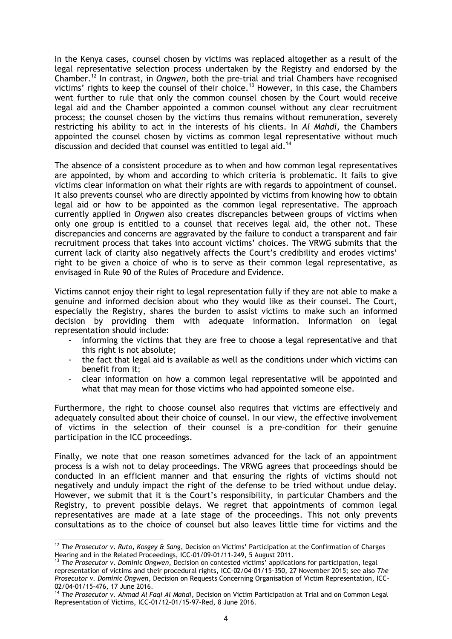In the Kenya cases, counsel chosen by victims was replaced altogether as a result of the legal representative selection process undertaken by the Registry and endorsed by the Chamber.<sup>12</sup> In contrast, in *Ongwen*, both the pre-trial and trial Chambers have recognised victims' rights to keep the counsel of their choice.<sup>13</sup> However, in this case, the Chambers went further to rule that only the common counsel chosen by the Court would receive legal aid and the Chamber appointed a common counsel without any clear recruitment process; the counsel chosen by the victims thus remains without remuneration, severely restricting his ability to act in the interests of his clients. In *Al Mahdi*, the Chambers appointed the counsel chosen by victims as common legal representative without much discussion and decided that counsel was entitled to legal aid.<sup>14</sup>

The absence of a consistent procedure as to when and how common legal representatives are appointed, by whom and according to which criteria is problematic. It fails to give victims clear information on what their rights are with regards to appointment of counsel. It also prevents counsel who are directly appointed by victims from knowing how to obtain legal aid or how to be appointed as the common legal representative. The approach currently applied in *Ongwen* also creates discrepancies between groups of victims when only one group is entitled to a counsel that receives legal aid, the other not. These discrepancies and concerns are aggravated by the failure to conduct a transparent and fair recruitment process that takes into account victims' choices. The VRWG submits that the current lack of clarity also negatively affects the Court's credibility and erodes victims' right to be given a choice of who is to serve as their common legal representative, as envisaged in Rule 90 of the Rules of Procedure and Evidence.

Victims cannot enjoy their right to legal representation fully if they are not able to make a genuine and informed decision about who they would like as their counsel. The Court, especially the Registry, shares the burden to assist victims to make such an informed decision by providing them with adequate information. Information on legal representation should include:

- informing the victims that they are free to choose a legal representative and that this right is not absolute;
- the fact that legal aid is available as well as the conditions under which victims can benefit from it;
- clear information on how a common legal representative will be appointed and what that may mean for those victims who had appointed someone else.

Furthermore, the right to choose counsel also requires that victims are effectively and adequately consulted about their choice of counsel. In our view, the effective involvement of victims in the selection of their counsel is a pre-condition for their genuine participation in the ICC proceedings.

Finally, we note that one reason sometimes advanced for the lack of an appointment process is a wish not to delay proceedings. The VRWG agrees that proceedings should be conducted in an efficient manner and that ensuring the rights of victims should not negatively and unduly impact the right of the defense to be tried without undue delay. However, we submit that it is the Court's responsibility, in particular Chambers and the Registry, to prevent possible delays. We regret that appointments of common legal representatives are made at a late stage of the proceedings. This not only prevents consultations as to the choice of counsel but also leaves little time for victims and the

<sup>&</sup>lt;u>.</u> <sup>12</sup> *The Prosecutor v. Ruto, Kosgey & Sang*, Decision on Victims' Participation at the Confirmation of Charges Hearing and in the Related Proceedings, ICC-01/09-01/11-249, 5 August 2011.

<sup>13</sup> *The Prosecutor v. Dominic Ongwen*, Decision on contested victims' applications for participation, legal representation of victims and their procedural rights, ICC-02/04-01/15-350, 27 November 2015; see also *The Prosecutor v. Dominic Ongwen*, Decision on Requests Concerning Organisation of Victim Representation, ICC-02/04-01/15-476, 17 June 2016.

<sup>14</sup> *The Prosecutor v. Ahmad Al Faqi Al Mahdi*, Decision on Victim Participation at Trial and on Common Legal Representation of Victims, ICC-01/12-01/15-97-Red, 8 June 2016.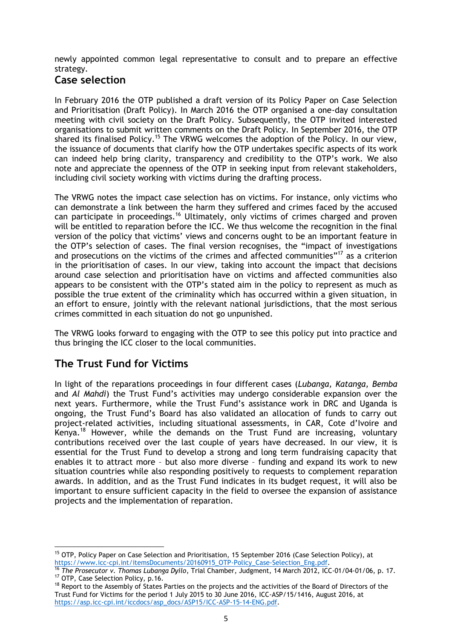newly appointed common legal representative to consult and to prepare an effective strategy.

### **Case selection**

In February 2016 the OTP published a draft version of its Policy Paper on Case Selection and Prioritisation (Draft Policy). In March 2016 the OTP organised a one-day consultation meeting with civil society on the Draft Policy. Subsequently, the OTP invited interested organisations to submit written comments on the Draft Policy. In September 2016, the OTP shared its finalised Policy.<sup>15</sup> The VRWG welcomes the adoption of the Policy. In our view, the issuance of documents that clarify how the OTP undertakes specific aspects of its work can indeed help bring clarity, transparency and credibility to the OTP's work. We also note and appreciate the openness of the OTP in seeking input from relevant stakeholders, including civil society working with victims during the drafting process.

The VRWG notes the impact case selection has on victims. For instance, only victims who can demonstrate a link between the harm they suffered and crimes faced by the accused can participate in proceedings.<sup>16</sup> Ultimately, only victims of crimes charged and proven will be entitled to reparation before the ICC. We thus welcome the recognition in the final version of the policy that victims' views and concerns ought to be an important feature in the OTP's selection of cases. The final version recognises, the "impact of investigations and prosecutions on the victims of the crimes and affected communities"<sup>17</sup> as a criterion in the prioritisation of cases. In our view, taking into account the impact that decisions around case selection and prioritisation have on victims and affected communities also appears to be consistent with the OTP's stated aim in the policy to represent as much as possible the true extent of the criminality which has occurred within a given situation, in an effort to ensure, jointly with the relevant national jurisdictions, that the most serious crimes committed in each situation do not go unpunished.

The VRWG looks forward to engaging with the OTP to see this policy put into practice and thus bringing the ICC closer to the local communities.

## **The Trust Fund for Victims**

In light of the reparations proceedings in four different cases (*Lubanga, Katanga, Bemba*  and *Al Mahdi*) the Trust Fund's activities may undergo considerable expansion over the next years. Furthermore, while the Trust Fund's assistance work in DRC and Uganda is ongoing, the Trust Fund's Board has also validated an allocation of funds to carry out project-related activities, including situational assessments, in CAR, Cote d'Ivoire and Kenya.<sup>18</sup> However, while the demands on the Trust Fund are increasing, voluntary contributions received over the last couple of years have decreased. In our view, it is essential for the Trust Fund to develop a strong and long term fundraising capacity that enables it to attract more – but also more diverse – funding and expand its work to new situation countries while also responding positively to requests to complement reparation awards. In addition, and as the Trust Fund indicates in its budget request, it will also be important to ensure sufficient capacity in the field to oversee the expansion of assistance projects and the implementation of reparation.

<sup>1</sup> <sup>15</sup> OTP, Policy Paper on Case Selection and Prioritisation, 15 September 2016 (Case Selection Policy), at [https://www.icc-cpi.int/itemsDocuments/20160915\\_OTP-Policy\\_Case-Selection\\_Eng.pdf.](https://www.icc-cpi.int/itemsDocuments/20160915_OTP-Policy_Case-Selection_Eng.pdf)

<sup>16</sup> *The Prosecutor v. Thomas Lubanga Dyilo*, Trial Chamber, Judgment, 14 March 2012, ICC-01/04-01/06, p. 17. <sup>17</sup> OTP, Case Selection Policy, p.16.

<sup>&</sup>lt;sup>18</sup> Report to the Assembly of States Parties on the projects and the activities of the Board of Directors of the Trust Fund for Victims for the period 1 July 2015 to 30 June 2016, ICC-ASP/15/1416, August 2016, at [https://asp.icc-cpi.int/iccdocs/asp\\_docs/ASP15/ICC-ASP-15-14-ENG.pdf.](https://asp.icc-cpi.int/iccdocs/asp_docs/ASP15/ICC-ASP-15-14-ENG.pdf)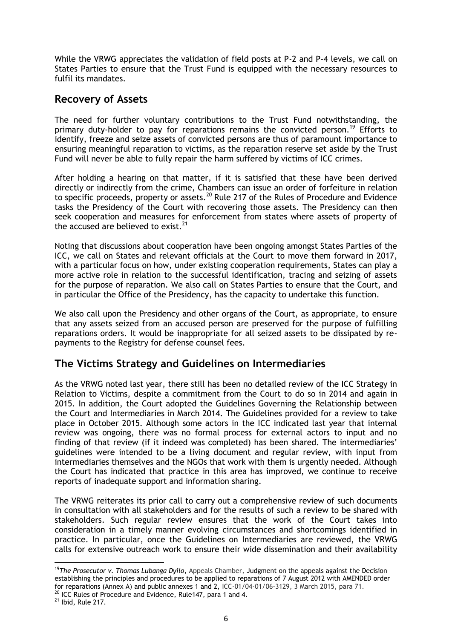While the VRWG appreciates the validation of field posts at P-2 and P-4 levels, we call on States Parties to ensure that the Trust Fund is equipped with the necessary resources to fulfil its mandates.

### **Recovery of Assets**

The need for further voluntary contributions to the Trust Fund notwithstanding, the primary duty-holder to pay for reparations remains the convicted person.<sup>19</sup> Efforts to identify, freeze and seize assets of convicted persons are thus of paramount importance to ensuring meaningful reparation to victims, as the reparation reserve set aside by the Trust Fund will never be able to fully repair the harm suffered by victims of ICC crimes.

After holding a hearing on that matter, if it is satisfied that these have been derived directly or indirectly from the crime, Chambers can issue an order of forfeiture in relation to specific proceeds, property or assets.<sup>20</sup> Rule 217 of the Rules of Procedure and Evidence tasks the Presidency of the Court with recovering those assets. The Presidency can then seek cooperation and measures for enforcement from states where assets of property of the accused are believed to exist. $^{21}$ 

Noting that discussions about cooperation have been ongoing amongst States Parties of the ICC, we call on States and relevant officials at the Court to move them forward in 2017, with a particular focus on how, under existing cooperation requirements, States can play a more active role in relation to the successful identification, tracing and seizing of assets for the purpose of reparation. We also call on States Parties to ensure that the Court, and in particular the Office of the Presidency, has the capacity to undertake this function.

We also call upon the Presidency and other organs of the Court, as appropriate, to ensure that any assets seized from an accused person are preserved for the purpose of fulfilling reparations orders. It would be inappropriate for all seized assets to be dissipated by repayments to the Registry for defense counsel fees.

#### **The Victims Strategy and Guidelines on Intermediaries**

As the VRWG noted last year, there still has been no detailed review of the ICC Strategy in Relation to Victims, despite a commitment from the Court to do so in 2014 and again in 2015. In addition, the Court adopted the Guidelines Governing the Relationship between the Court and Intermediaries in March 2014. The Guidelines provided for a review to take place in October 2015. Although some actors in the ICC indicated last year that internal review was ongoing, there was no formal process for external actors to input and no finding of that review (if it indeed was completed) has been shared. The intermediaries' guidelines were intended to be a living document and regular review, with input from intermediaries themselves and the NGOs that work with them is urgently needed. Although the Court has indicated that practice in this area has improved, we continue to receive reports of inadequate support and information sharing.

The VRWG reiterates its prior call to carry out a comprehensive review of such documents in consultation with all stakeholders and for the results of such a review to be shared with stakeholders. Such regular review ensures that the work of the Court takes into consideration in a timely manner evolving circumstances and shortcomings identified in practice. In particular, once the Guidelines on Intermediaries are reviewed, the VRWG calls for extensive outreach work to ensure their wide dissemination and their availability

<sup>1</sup> <sup>19</sup>*The Prosecutor v. Thomas Lubanga Dyilo*, Appeals Chamber, Judgment on the appeals against the Decision establishing the principles and procedures to be applied to reparations of 7 August 2012 with AMENDED order for reparations (Annex A) and public annexes 1 and 2, ICC-01/04-01/06-3129, 3 March 2015, para 71.

<sup>&</sup>lt;sup>20</sup> ICC Rules of Procedure and Evidence, Rule147, para 1 and 4.

 $21$  Ibid, Rule 217.